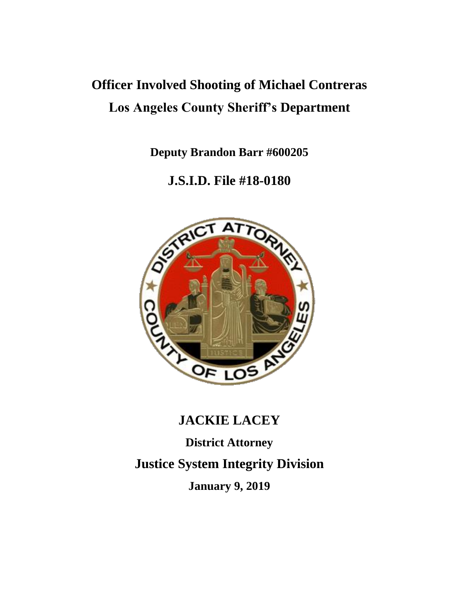# **Officer Involved Shooting of Michael Contreras Los Angeles County Sheriff's Department**

**Deputy Brandon Barr #600205**

**J.S.I.D. File #18-0180**



# **JACKIE LACEY**

**District Attorney Justice System Integrity Division January 9, 2019**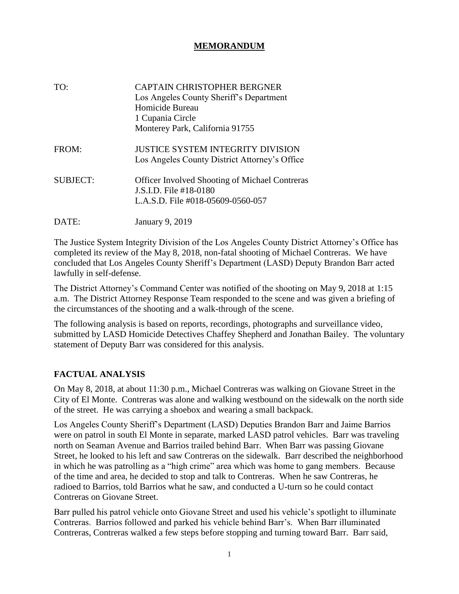### **MEMORANDUM**

| TO:             | CAPTAIN CHRISTOPHER BERGNER<br>Los Angeles County Sheriff's Department<br>Homicide Bureau<br>1 Cupania Circle<br>Monterey Park, California 91755 |
|-----------------|--------------------------------------------------------------------------------------------------------------------------------------------------|
| FROM:           | <b>JUSTICE SYSTEM INTEGRITY DIVISION</b><br>Los Angeles County District Attorney's Office                                                        |
| <b>SUBJECT:</b> | <b>Officer Involved Shooting of Michael Contreras</b><br>J.S.I.D. File #18-0180<br>L.A.S.D. File #018-05609-0560-057                             |
| DATE:           | <b>January 9, 2019</b>                                                                                                                           |

The Justice System Integrity Division of the Los Angeles County District Attorney's Office has completed its review of the May 8, 2018, non-fatal shooting of Michael Contreras. We have concluded that Los Angeles County Sheriff's Department (LASD) Deputy Brandon Barr acted lawfully in self-defense.

The District Attorney's Command Center was notified of the shooting on May 9, 2018 at 1:15 a.m. The District Attorney Response Team responded to the scene and was given a briefing of the circumstances of the shooting and a walk-through of the scene.

The following analysis is based on reports, recordings, photographs and surveillance video, submitted by LASD Homicide Detectives Chaffey Shepherd and Jonathan Bailey. The voluntary statement of Deputy Barr was considered for this analysis.

#### **FACTUAL ANALYSIS**

On May 8, 2018, at about 11:30 p.m., Michael Contreras was walking on Giovane Street in the City of El Monte. Contreras was alone and walking westbound on the sidewalk on the north side of the street. He was carrying a shoebox and wearing a small backpack.

Los Angeles County Sheriff's Department (LASD) Deputies Brandon Barr and Jaime Barrios were on patrol in south El Monte in separate, marked LASD patrol vehicles. Barr was traveling north on Seaman Avenue and Barrios trailed behind Barr. When Barr was passing Giovane Street, he looked to his left and saw Contreras on the sidewalk. Barr described the neighborhood in which he was patrolling as a "high crime" area which was home to gang members. Because of the time and area, he decided to stop and talk to Contreras. When he saw Contreras, he radioed to Barrios, told Barrios what he saw, and conducted a U-turn so he could contact Contreras on Giovane Street.

Barr pulled his patrol vehicle onto Giovane Street and used his vehicle's spotlight to illuminate Contreras. Barrios followed and parked his vehicle behind Barr's. When Barr illuminated Contreras, Contreras walked a few steps before stopping and turning toward Barr. Barr said,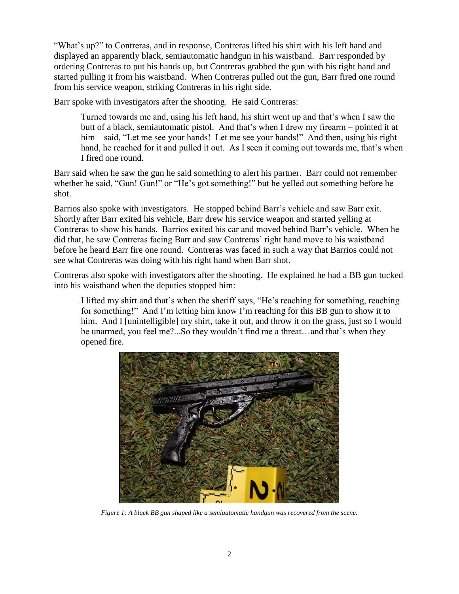"What's up?" to Contreras, and in response, Contreras lifted his shirt with his left hand and displayed an apparently black, semiautomatic handgun in his waistband. Barr responded by ordering Contreras to put his hands up, but Contreras grabbed the gun with his right hand and started pulling it from his waistband. When Contreras pulled out the gun, Barr fired one round from his service weapon, striking Contreras in his right side.

Barr spoke with investigators after the shooting. He said Contreras:

Turned towards me and, using his left hand, his shirt went up and that's when I saw the butt of a black, semiautomatic pistol. And that's when I drew my firearm – pointed it at him – said, "Let me see your hands! Let me see your hands!" And then, using his right hand, he reached for it and pulled it out. As I seen it coming out towards me, that's when I fired one round.

Barr said when he saw the gun he said something to alert his partner. Barr could not remember whether he said, "Gun! Gun!" or "He's got something!" but he yelled out something before he shot.

Barrios also spoke with investigators. He stopped behind Barr's vehicle and saw Barr exit. Shortly after Barr exited his vehicle, Barr drew his service weapon and started yelling at Contreras to show his hands. Barrios exited his car and moved behind Barr's vehicle. When he did that, he saw Contreras facing Barr and saw Contreras' right hand move to his waistband before he heard Barr fire one round. Contreras was faced in such a way that Barrios could not see what Contreras was doing with his right hand when Barr shot.

Contreras also spoke with investigators after the shooting. He explained he had a BB gun tucked into his waistband when the deputies stopped him:

I lifted my shirt and that's when the sheriff says, "He's reaching for something, reaching for something!" And I'm letting him know I'm reaching for this BB gun to show it to him. And I [unintelligible] my shirt, take it out, and throw it on the grass, just so I would be unarmed, you feel me?...So they wouldn't find me a threat…and that's when they opened fire.



*Figure 1: A black BB gun shaped like a semiautomatic handgun was recovered from the scene.*